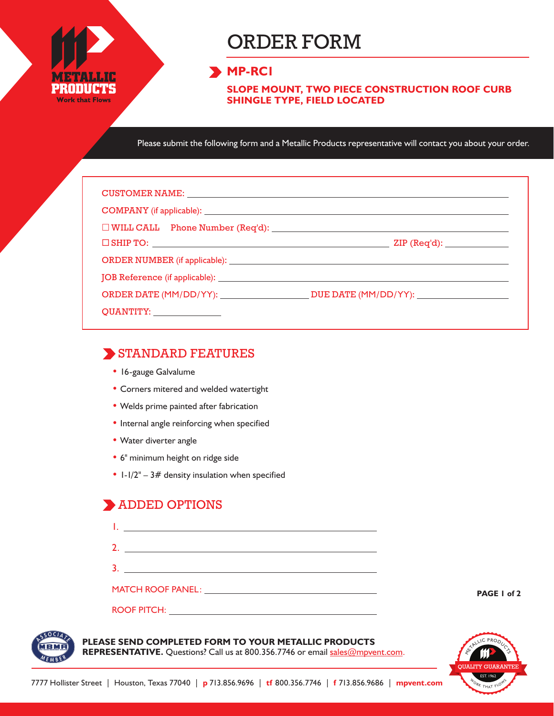

# ORDER FORM

## **MP-RC1**

**SLOPE MOUNT, TWO PIECE CONSTRUCTION ROOF CURB SHINGLE TYPE, FIELD LOCATED**

Please submit the following form and a Metallic Products representative will contact you about your order.

| CUSTOMER NAME: NAME: NAME AND A SERIES OF THE SERIES OF THE SERIES OF THE SERIES OF THE SERIES OF THE SERIES OF THE SERIES OF THE SERIES OF THE SERIES OF THE SERIES OF THE SERIES OF THE SERIES OF THE SERIES OF THE SERIES O |  |  |  |  |  |  |  |  |  |
|--------------------------------------------------------------------------------------------------------------------------------------------------------------------------------------------------------------------------------|--|--|--|--|--|--|--|--|--|
|                                                                                                                                                                                                                                |  |  |  |  |  |  |  |  |  |
| $\Box$ WILL CALL Phone Number (Req'd): $\Box$                                                                                                                                                                                  |  |  |  |  |  |  |  |  |  |
| $\square$ SHIP TO: $\square$                                                                                                                                                                                                   |  |  |  |  |  |  |  |  |  |
|                                                                                                                                                                                                                                |  |  |  |  |  |  |  |  |  |
|                                                                                                                                                                                                                                |  |  |  |  |  |  |  |  |  |
|                                                                                                                                                                                                                                |  |  |  |  |  |  |  |  |  |
| QUANTITY: _______________                                                                                                                                                                                                      |  |  |  |  |  |  |  |  |  |

### STANDARD FEATURES

- 16-gauge Galvalume
- Corners mitered and welded watertight
- Welds prime painted after fabrication
- Internal angle reinforcing when specified
- Water diverter angle
- 6" minimum height on ridge side
- $1-1/2$ <sup>"</sup> 3# density insulation when specified

# **ADDED OPTIONS**

| <u> 1989 - Johann Stoff, deutscher Stoff, der Stoff, der Stoff, der Stoff, der Stoff, der Stoff, der Stoff, der S</u>      |  |
|----------------------------------------------------------------------------------------------------------------------------|--|
| 3<br><u> 1989 - John Harry Harry Harry Harry Harry Harry Harry Harry Harry Harry Harry Harry Harry Harry Harry Harry H</u> |  |
| MATCH ROOF PANEL: University of Anti-                                                                                      |  |
|                                                                                                                            |  |

#### **PLEASE SEND COMPLETED FORM TO YOUR METALLIC PRODUCTS**

REPRESENTATIVE. Questions? Call us at 800.356.7746 or email sales@mpvent.com.



**PAGE 1 of 2**